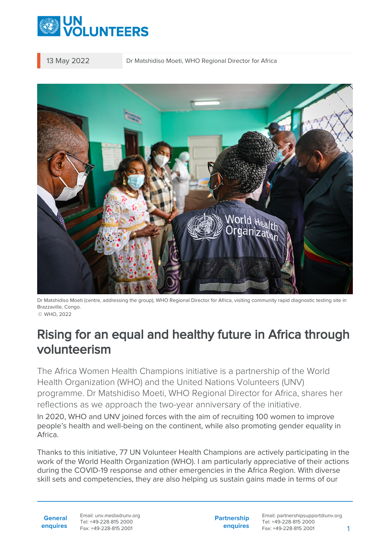

13 May 2022 Dr Matshidiso Moeti, WHO Regional Director for Africa



Dr Matshidiso Moeti (centre, addressing the group), WHO Regional Director for Africa, visiting community rapid diagnostic testing site in Brazzaville, Congo. © WHO, 2022

## Rising for an equal and healthy future in Africa through volunteerism

The Africa Women Health Champions initiative is a partnership of the World Health Organization (WHO) and the United Nations Volunteers (UNV) programme. Dr Matshidiso Moeti, WHO Regional Director for Africa, shares her reflections as we approach the two-year anniversary of the initiative.

In 2020, WHO and UNV joined forces with the aim of recruiting 100 women to improve people's health and well-being on the continent, while also promoting gender equality in Africa.

Thanks to this initiative, 77 UN Volunteer Health Champions are actively participating in the work of the World Health Organization (WHO). I am particularly appreciative of their actions during the COVID-19 response and other emergencies in the Africa Region. With diverse skill sets and competencies, they are also helping us sustain gains made in terms of our

**General enquires** Email: unv.media@unv.org Tel: +49-228-815 2000 Fax: +49-228-815 2001

**Partnership enquires**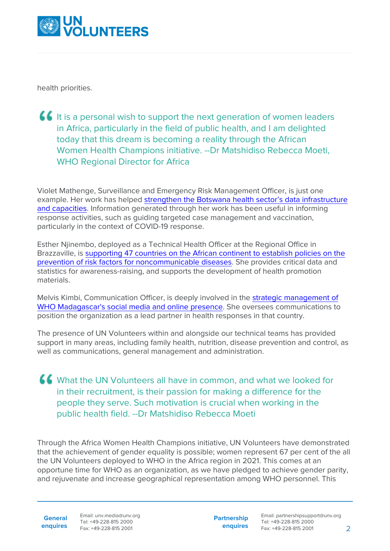

health priorities.

It is a personal wish to support the next generation of women leaders in Africa, particularly in the field of public health, and I am delighted today that this dream is becoming a reality through the African Women Health Champions initiative. --Dr Matshidiso Rebecca Moeti, WHO Regional Director for Africa

Violet Mathenge, Surveillance and Emergency Risk Management Officer, is just one example. Her work has helped [strengthen the Botswana health sector's data infrastructure](https://www.unv.org/Success-stories/volunteering-african-woman-health-champion-botswana) [and capacities](https://www.unv.org/Success-stories/volunteering-african-woman-health-champion-botswana). Information generated through her work has been useful in informing response activities, such as guiding targeted case management and vaccination, particularly in the context of COVID-19 response.

Esther Njinembo, deployed as a Technical Health Officer at the Regional Office in Brazzaville, is [supporting 47 countries on the African continent to establish policies on the](https://www.unv.org/Success-stories/volunteering-african-woman-health-champion-botswana) [prevention of risk factors for noncommunicable diseases](https://www.unv.org/Success-stories/volunteering-african-woman-health-champion-botswana). She provides critical data and statistics for awareness-raising, and supports the development of health promotion materials.

Melvis Kimbi, Communication Officer, is deeply involved in the [strategic management of](https://www.unv.org/fr/node/24369) [WHO Madagascar's social media and online presence.](https://www.unv.org/fr/node/24369) She oversees communications to position the organization as a lead partner in health responses in that country.

The presence of UN Volunteers within and alongside our technical teams has provided support in many areas, including family health, nutrition, disease prevention and control, as well as communications, general management and administration.

What the UN Volunteers all have in common, and what we looked for in their recruitment, is their passion for making a difference for the people they serve. Such motivation is crucial when working in the public health field. --Dr Matshidiso Rebecca Moeti

Through the Africa Women Health Champions initiative, UN Volunteers have demonstrated that the achievement of gender equality is possible; women represent 67 per cent of the all the UN Volunteers deployed to WHO in the Africa region in 2021. This comes at an opportune time for WHO as an organization, as we have pledged to achieve gender parity, and rejuvenate and increase geographical representation among WHO personnel. This

**General**

**enquires** Fax: +49-228-815 2001 Email: unv.media@unv.org Tel: +49-228-815 2000

**Partnership enquires**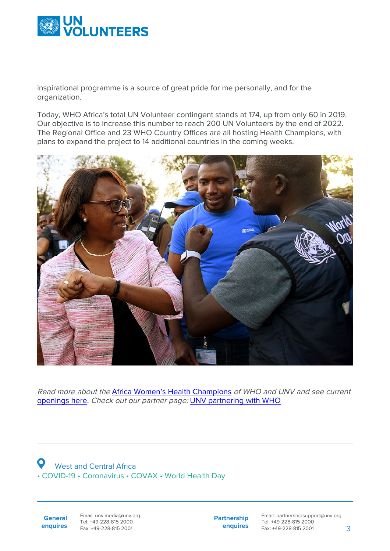

inspirational programme is a source of great pride for me personally, and for the organization.

Today, WHO Africa's total UN Volunteer contingent stands at 174, up from only 60 in 2019. Our objective is to increase this number to reach 200 UN Volunteers by the end of 2022. The Regional Office and 23 WHO Country Offices are all hosting Health Champions, with plans to expand the project to 14 additional countries in the coming weeks.



Read more about the [Africa Women's Health Champions](https://www.unv.org/News/Africa-Women-Health-Champions-improve-health-and-gender-equality) of WHO and UNV and see current [openings here](https://www.unv.org/unv-recruiting-africa-women-health-champions). Check out our partner page: [UNV partnering with WHO](https://www.unv.org/Partners/unv-partnering-who)

 West and Central Africa • COVID-19 • Coronavirus • COVAX • World Health Day

**General enquires** Email: unv.media@unv.org Tel: +49-228-815 2000 Fax: +49-228-815 2001

**Partnership enquires**